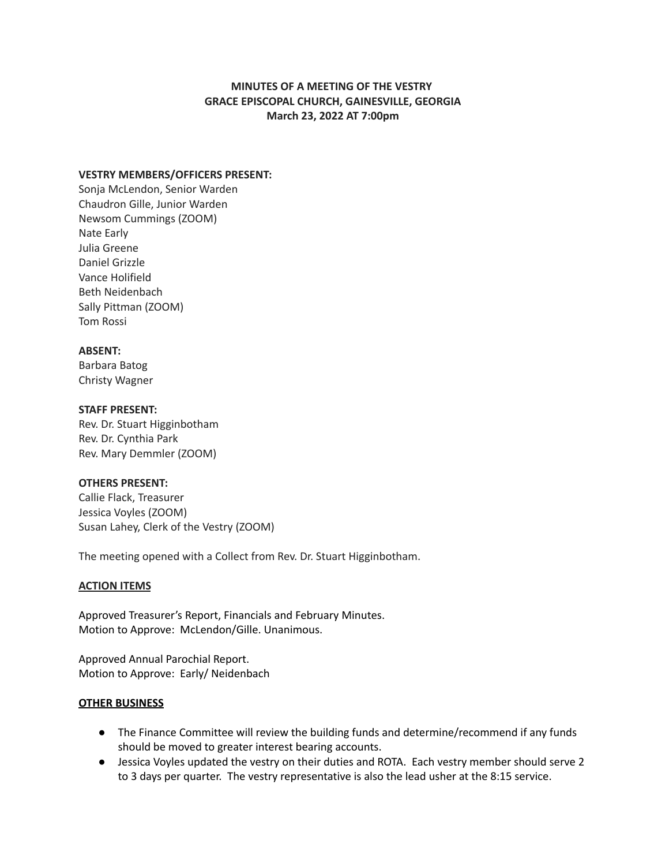# **MINUTES OF A MEETING OF THE VESTRY GRACE EPISCOPAL CHURCH, GAINESVILLE, GEORGIA March 23, 2022 AT 7:00pm**

### **VESTRY MEMBERS/OFFICERS PRESENT:**

Sonja McLendon, Senior Warden Chaudron Gille, Junior Warden Newsom Cummings (ZOOM) Nate Early Julia Greene Daniel Grizzle Vance Holifield Beth Neidenbach Sally Pittman (ZOOM) Tom Rossi

### **ABSENT:**

Barbara Batog Christy Wagner

### **STAFF PRESENT:**

Rev. Dr. Stuart Higginbotham Rev. Dr. Cynthia Park Rev. Mary Demmler (ZOOM)

## **OTHERS PRESENT:**

Callie Flack, Treasurer Jessica Voyles (ZOOM) Susan Lahey, Clerk of the Vestry (ZOOM)

The meeting opened with a Collect from Rev. Dr. Stuart Higginbotham.

## **ACTION ITEMS**

Approved Treasurer's Report, Financials and February Minutes. Motion to Approve: McLendon/Gille. Unanimous.

Approved Annual Parochial Report. Motion to Approve: Early/ Neidenbach

#### **OTHER BUSINESS**

- The Finance Committee will review the building funds and determine/recommend if any funds should be moved to greater interest bearing accounts.
- Jessica Voyles updated the vestry on their duties and ROTA. Each vestry member should serve 2 to 3 days per quarter. The vestry representative is also the lead usher at the 8:15 service.